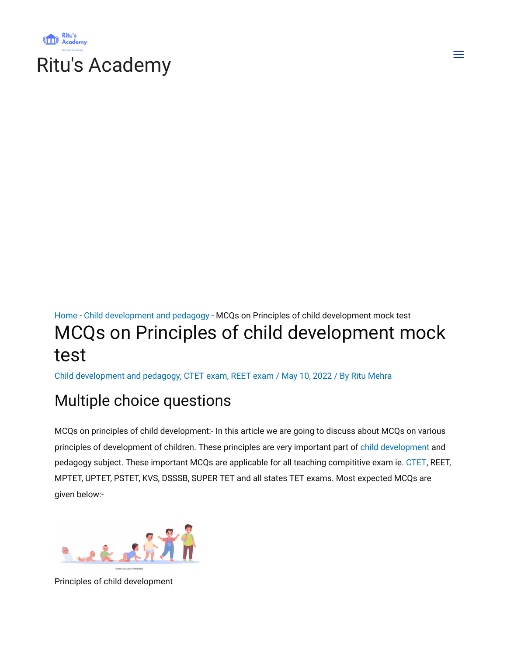



# [Home](https://ritusacademy.com/) - Child [development](https://ritusacademy.com/category/child-development-and-pedagogy/) and pedagogy - MCQs on Principles of child development mock test MCQs on Principles of child development mock test

Child [development](https://ritusacademy.com/category/child-development-and-pedagogy/) and pedagogy, CTET [exam](https://ritusacademy.com/category/ctet-exam/), REET [exam](https://ritusacademy.com/category/reet-exam/) / May 10, 2022 / By Ritu [Mehra](https://ritusacademy.com/author/ritumehra19820713/)

# Multiple choice questions

MCQs on principles of child development:- In this article we are going to discuss about MCQs on various principles of development of children. These principles are very important part of child [development](https://en.m.wikipedia.org/wiki/Child_development) and pedagogy subject. These important MCQs are applicable for all teaching compititive exam ie. [CTET](https://ritusacademy.com/category/ctet-exam/), REET, MPTET, UPTET, PSTET, KVS, DSSSB, SUPER TET and all states TET exams. Most expected MCQs are given below:-



Principles of child development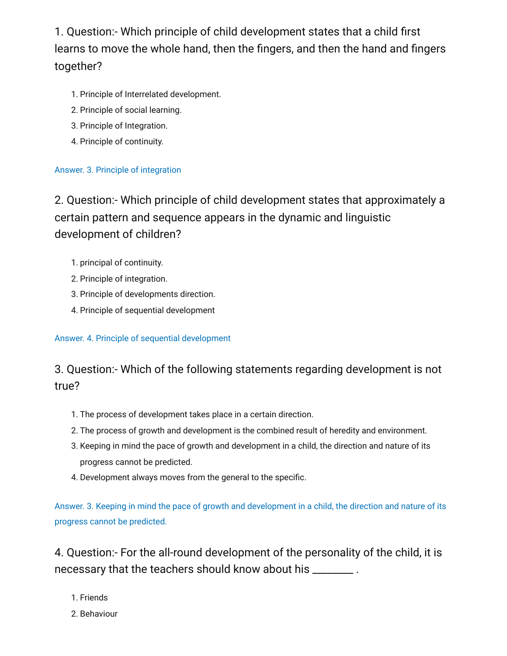1. Question:- Which principle of child development states that a child first learns to move the whole hand, then the fingers, and then the hand and fingers together?

- 1. Principle of Interrelated development.
- 2. Principle of social learning.
- 3. Principle of Integration.
- 4. Principle of continuity.

## Answer. 3. Principle of integration

2. Question:- Which principle of child development states that approximately a certain pattern and sequence appears in the dynamic and linguistic development of children?

- 1. principal of continuity.
- 2. Principle of integration.
- 3. Principle of developments direction.
- 4. Principle of sequential development

## Answer. 4. Principle of sequential development

# 3. Question:- Which of the following statements regarding development is not true?

- 1. The process of development takes place in a certain direction.
- 2. The process of growth and development is the combined result of heredity and environment.
- 3. Keeping in mind the pace of growth and development in a child, the direction and nature of its progress cannot be predicted.
- 4. Development always moves from the general to the specific.

Answer. 3. Keeping in mind the pace of growth and development in a child, the direction and nature of its progress cannot be predicted.

4. Question:- For the all-round development of the personality of the child, it is necessary that the teachers should know about his \_\_\_\_\_\_\_\_ .

- 1. Friends
- 2. Behaviour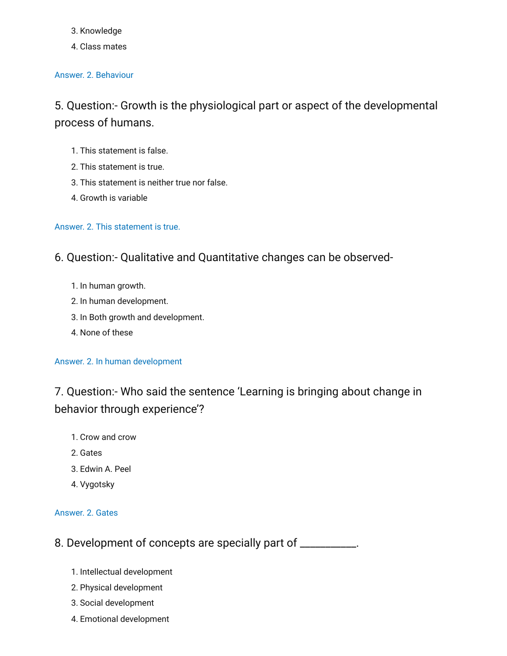#### 3. Knowledge

4. Class mates

#### Answer. 2. Behaviour

5. Question:- Growth is the physiological part or aspect of the developmental process of humans.

- 1. This statement is false.
- 2. This statement is true.
- 3. This statement is neither true nor false.
- 4. Growth is variable

#### Answer. 2. This statement is true.

6. Question:- Qualitative and Quantitative changes can be observed-

- 1. In human growth.
- 2. In human development.
- 3. In Both growth and development.
- 4. None of these

#### Answer. 2. In human development

7. Question:- Who said the sentence 'Learning is bringing about change in behavior through experience'?

- 1. Crow and crow
- 2. Gates
- 3. Edwin A. Peel
- 4. Vygotsky

#### Answer. 2. Gates

## 8. Development of concepts are specially part of \_\_\_\_\_\_\_\_\_\_.

- 1. Intellectual development
- 2. Physical development
- 3. Social development
- 4. Emotional development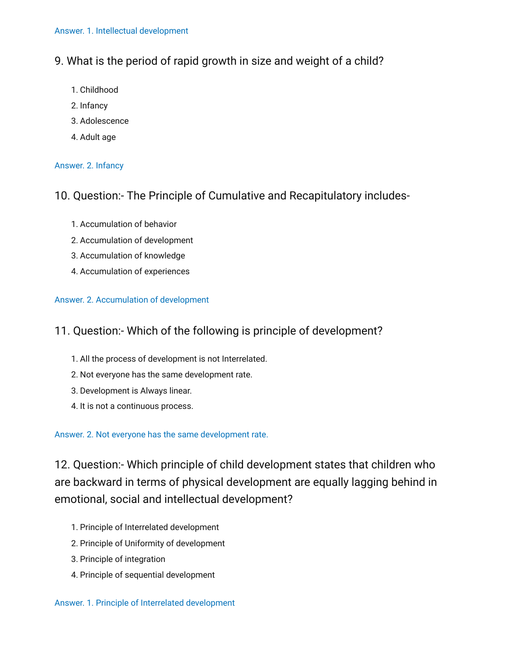## 9. What is the period of rapid growth in size and weight of a child?

- 1. Childhood
- 2. Infancy
- 3. Adolescence
- 4. Adult age

## Answer. 2. Infancy

## 10. Question:- The Principle of Cumulative and Recapitulatory includes-

- 1. Accumulation of behavior
- 2. Accumulation of development
- 3. Accumulation of knowledge
- 4. Accumulation of experiences

## Answer. 2. Accumulation of development

## 11. Question:- Which of the following is principle of development?

- 1. All the process of development is not Interrelated.
- 2. Not everyone has the same development rate.
- 3. Development is Always linear.
- 4. It is not a continuous process.

## Answer. 2. Not everyone has the same development rate.

12. Question:- Which principle of child development states that children who are backward in terms of physical development are equally lagging behind in emotional, social and intellectual development?

- 1. Principle of Interrelated development
- 2. Principle of Uniformity of development
- 3. Principle of integration
- 4. Principle of sequential development

#### Answer. 1. Principle of Interrelated development